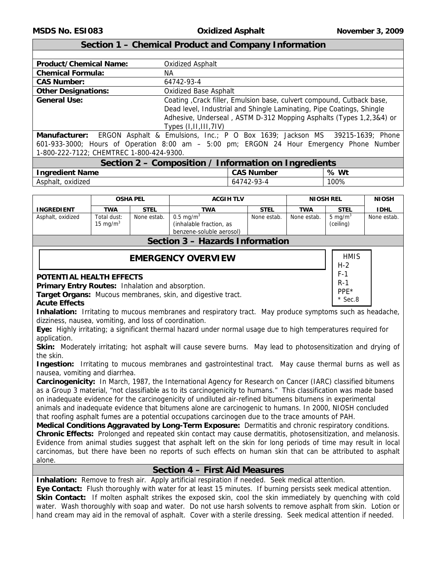H-2 F-1 R-1 PPE\* \* Sec.8

## **Section 1 – Chemical Product and Company Information**

| <b>Product/Chemical Name:</b> | <b>Oxidized Asphalt</b>                                               |
|-------------------------------|-----------------------------------------------------------------------|
| <b>Chemical Formula:</b>      | NА                                                                    |
| <b>CAS Number:</b>            | 64742-93-4                                                            |
| <b>Other Designations:</b>    | <b>Oxidized Base Asphalt</b>                                          |
| <b>General Use:</b>           | Coating, Crack filler, Emulsion base, culvert compound, Cutback base, |
|                               | Dead level, Industrial and Shingle Laminating, Pipe Coatings, Shingle |
|                               | Adhesive, Underseal, ASTM D-312 Mopping Asphalts (Types 1,2,3&4) or   |
|                               | Types $(I,II,III,7IV)$                                                |

**Manufacturer:** ERGON Asphalt & Emulsions, Inc.; P O Box 1639; Jackson MS 39215-1639; Phone 601-933-3000; Hours of Operation 8:00 am – 5:00 pm; ERGON 24 Hour Emergency Phone Number 1-800-222-7122; CHEMTREC 1-800-424-9300.

# **Section 2 – Composition / Information on Ingredients**

| <b>Ingredient Name</b>   | $CAC$ NI.<br><b>Number</b><br>1J  | Wt<br>℅ |
|--------------------------|-----------------------------------|---------|
| .<br>Asphalt<br>oxidized | <b>COJ</b><br>1 Д<br>64<br>′′−۔ ⁄ | 100%    |

|                            | <b>OSHA PEL</b> | <b>ACGIH TLV</b>                                                            |               |                | <b>NIOSH REL</b>        | <b>NIOSH</b> |
|----------------------------|-----------------|-----------------------------------------------------------------------------|---------------|----------------|-------------------------|--------------|
| TWA                        | <b>STEL</b>     | TWA                                                                         | <b>STEL</b>   | <b>TWA</b>     | <b>STEL</b>             | <b>IDHL</b>  |
| Total dust:<br>15 mg/ $m3$ | None estab.     | $0.5 \text{ ma/m}^3$<br>(inhalable fraction, as<br>benzene-soluble aerosol) | None estab.   | None estab.    | 5 mg/ $m3$<br>(ceiling) | None estab.  |
|                            |                 | $\sim$ $\sim$                                                               | $\sim$ $\sim$ | $\blacksquare$ |                         |              |

## **Section 3 – Hazards Information**

# **EMERGENCY OVERVIEW HERE**

#### **POTENTIAL HEALTH EFFECTS**

**Primary Entry Routes:** Inhalation and absorption.

**Target Organs:** Mucous membranes, skin, and digestive tract.

#### **Acute Effects**

**Inhalation:** Irritating to mucous membranes and respiratory tract. May produce symptoms such as headache, dizziness, nausea, vomiting, and loss of coordination.

**Eye:** Highly irritating; a significant thermal hazard under normal usage due to high temperatures required for application.

**Skin:** Moderately irritating; hot asphalt will cause severe burns. May lead to photosensitization and drying of the skin.

**Ingestion:** Irritating to mucous membranes and gastrointestinal tract. May cause thermal burns as well as nausea, vomiting and diarrhea.

**Carcinogenicity:** In March, 1987, the International Agency for Research on Cancer (IARC) classified bitumens as a Group 3 material, "not classifiable as to its carcinogenicity to humans." This classification was made based on inadequate evidence for the carcinogenicity of undiluted air-refined bitumens bitumens in experimental animals and inadequate evidence that bitumens alone are carcinogenic to humans. In 2000, NIOSH concluded that roofing asphalt fumes are a potential occupations carcinogen due to the trace amounts of PAH.

**Medical Conditions Aggravated by Long-Term Exposure:** Dermatitis and chronic respiratory conditions. **Chronic Effects:** Prolonged and repeated skin contact may cause dermatitis, photosensitization, and melanosis. Evidence from animal studies suggest that asphalt left on the skin for long periods of time may result in local carcinomas, but there have been no reports of such effects on human skin that can be attributed to asphalt alone.

## **Section 4 – First Aid Measures**

**Inhalation:** Remove to fresh air. Apply artificial respiration if needed. Seek medical attention.

**Eye Contact:** Flush thoroughly with water for at least 15 minutes. If burning persists seek medical attention. **Skin Contact:** If molten asphalt strikes the exposed skin, cool the skin immediately by quenching with cold water. Wash thoroughly with soap and water. Do not use harsh solvents to remove asphalt from skin. Lotion or hand cream may aid in the removal of asphalt. Cover with a sterile dressing. Seek medical attention if needed.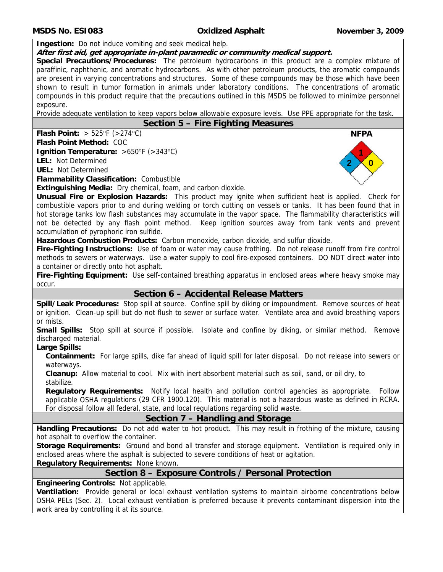#### **MSDS No. ESI083 Oxidized Asphalt November 3, 2009**

**Ingestion:** Do not induce vomiting and seek medical help.

## **After first aid, get appropriate in-plant paramedic or community medical support.**

**Special Precautions/Procedures:** The petroleum hydrocarbons in this product are a complex mixture of paraffinic, naphthenic, and aromatic hydrocarbons. As with other petroleum products, the aromatic compounds are present in varying concentrations and structures. Some of these compounds may be those which have been shown to result in tumor formation in animals under laboratory conditions. The concentrations of aromatic compounds in this product require that the precautions outlined in this MSDS be followed to minimize personnel exposure.

Provide adequate ventilation to keep vapors below allowable exposure levels. Use PPE appropriate for the task.

## **Section 5 – Fire Fighting Measures**

**Flash Point:**  $> 525^{\circ}F$  ( $> 274^{\circ}C$ )

**Flash Point Method:** COC **Ignition Temperature:** >650°F (>343°C)

**LEL:** Not Determined **UEL:** Not Determined

**Flammability Classification:** Combustible

**Extinguishing Media:** Dry chemical, foam, and carbon dioxide.

**Unusual Fire or Explosion Hazards:** This product may ignite when sufficient heat is applied. Check for combustible vapors prior to and during welding or torch cutting on vessels or tanks. It has been found that in hot storage tanks low flash substances may accumulate in the vapor space. The flammability characteristics will not be detected by any flash point method. Keep ignition sources away from tank vents and prevent accumulation of pyrophoric iron sulfide.

**Hazardous Combustion Products:** Carbon monoxide, carbon dioxide, and sulfur dioxide.

**Fire-Fighting Instructions:** Use of foam or water may cause frothing. Do not release runoff from fire control methods to sewers or waterways. Use a water supply to cool fire-exposed containers. DO NOT direct water into a container or directly onto hot asphalt.

**Fire-Fighting Equipment:** Use self-contained breathing apparatus in enclosed areas where heavy smoke may occur.

## **Section 6 – Accidental Release Matters**

**Spill/Leak Procedures:** Stop spill at source. Confine spill by diking or impoundment. Remove sources of heat or ignition. Clean-up spill but do not flush to sewer or surface water. Ventilate area and avoid breathing vapors or mists.

**Small Spills:** Stop spill at source if possible. Isolate and confine by diking, or similar method. Remove discharged material.

#### **Large Spills:**

**Containment:** For large spills, dike far ahead of liquid spill for later disposal. Do not release into sewers or waterways.

**Cleanup:** Allow material to cool. Mix with inert absorbent material such as soil, sand, or oil dry, to stabilize.

**Regulatory Requirements:** Notify local health and pollution control agencies as appropriate. Follow applicable OSHA regulations (29 CFR 1900.120). This material is not a hazardous waste as defined in RCRA. For disposal follow all federal, state, and local regulations regarding solid waste.

## **Section 7 – Handling and Storage**

**Handling Precautions:** Do not add water to hot product. This may result in frothing of the mixture, causing hot asphalt to overflow the container.

**Storage Requirements:** Ground and bond all transfer and storage equipment. Ventilation is required only in enclosed areas where the asphalt is subjected to severe conditions of heat or agitation.

**Regulatory Requirements:** None known.

## **Section 8 – Exposure Controls / Personal Protection**

**Engineering Controls:** Not applicable.

**Ventilation:** Provide general or local exhaust ventilation systems to maintain airborne concentrations below OSHA PELs (Sec. 2). Local exhaust ventilation is preferred because it prevents contaminant dispersion into the work area by controlling it at its source.

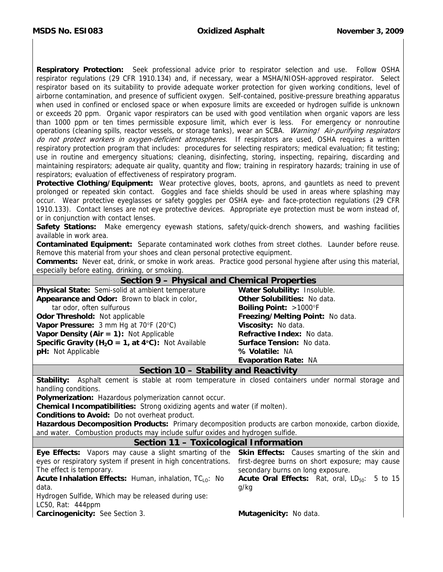**Respiratory Protection:** Seek professional advice prior to respirator selection and use. Follow OSHA respirator regulations (29 CFR 1910.134) and, if necessary, wear a MSHA/NIOSH-approved respirator. Select respirator based on its suitability to provide adequate worker protection for given working conditions, level of airborne contamination, and presence of sufficient oxygen. Self-contained, positive-pressure breathing apparatus when used in confined or enclosed space or when exposure limits are exceeded or hydrogen sulfide is unknown or exceeds 20 ppm. Organic vapor respirators can be used with good ventilation when organic vapors are less than 1000 ppm or ten times permissible exposure limit, which ever is less. For emergency or nonroutine operations (cleaning spills, reactor vessels, or storage tanks), wear an SCBA. Warning! Air-purifying respirators do not protect workers in oxygen-deficient atmospheres. If respirators are used, OSHA requires a written respiratory protection program that includes: procedures for selecting respirators; medical evaluation; fit testing; use in routine and emergency situations; cleaning, disinfecting, storing, inspecting, repairing, discarding and maintaining respirators; adequate air quality, quantity and flow; training in respiratory hazards; training in use of respirators; evaluation of effectiveness of respiratory program.

**Protective Clothing/Equipment:** Wear protective gloves, boots, aprons, and gauntlets as need to prevent prolonged or repeated skin contact. Goggles and face shields should be used in areas where splashing may occur. Wear protective eyeglasses or safety goggles per OSHA eye- and face-protection regulations (29 CFR 1910.133). Contact lenses are not eye protective devices. Appropriate eye protection must be worn instead of, or in conjunction with contact lenses.

**Safety Stations:** Make emergency eyewash stations, safety/quick-drench showers, and washing facilities available in work area.

**Contaminated Equipment:** Separate contaminated work clothes from street clothes. Launder before reuse. Remove this material from your shoes and clean personal protective equipment.

**Comments:** Never eat, drink, or smoke in work areas. Practice good personal hygiene after using this material, especially before eating, drinking, or smoking.

| Section 9 – Physical and Chemical Properties                                                          |                                                                                            |  |  |  |
|-------------------------------------------------------------------------------------------------------|--------------------------------------------------------------------------------------------|--|--|--|
| Physical State: Semi-solid at ambient temperature                                                     | Water Solubility: Insoluble.                                                               |  |  |  |
| Appearance and Odor: Brown to black in color,                                                         | <b>Other Solubilities: No data.</b>                                                        |  |  |  |
| tar odor, often sulfurous                                                                             | Boiling Point: >1000°F                                                                     |  |  |  |
| Odor Threshold: Not applicable                                                                        | Freezing/Melting Point: No data.                                                           |  |  |  |
| Vapor Pressure: 3 mm Hg at 70°F (20°C)                                                                | Viscosity: No data.                                                                        |  |  |  |
| Vapor Density (Air = $1$ ): Not Applicable                                                            | Refractive Index: No data.                                                                 |  |  |  |
| <b>Specific Gravity (H<sub>2</sub>O = 1, at 4°C):</b> Not Available                                   | Surface Tension: No data.                                                                  |  |  |  |
| pH: Not Applicable                                                                                    | % Volatile: NA                                                                             |  |  |  |
|                                                                                                       | <b>Evaporation Rate: NA</b>                                                                |  |  |  |
| Section 10 - Stability and Reactivity                                                                 |                                                                                            |  |  |  |
| Stability:                                                                                            | Asphalt cement is stable at room temperature in closed containers under normal storage and |  |  |  |
| handling conditions.                                                                                  |                                                                                            |  |  |  |
| Polymerization: Hazardous polymerization cannot occur.                                                |                                                                                            |  |  |  |
| Chemical Incompatibilities: Strong oxidizing agents and water (if molten).                            |                                                                                            |  |  |  |
| Conditions to Avoid: Do not overheat product.                                                         |                                                                                            |  |  |  |
| Hazardous Decomposition Products: Primary decomposition products are carbon monoxide, carbon dioxide, |                                                                                            |  |  |  |
| and water. Combustion products may include sulfur oxides and hydrogen sulfide.                        |                                                                                            |  |  |  |
| Section 11 - Toxicological Information                                                                |                                                                                            |  |  |  |
| Eye Effects: Vapors may cause a slight smarting of the Skin Effects: Causes smarting of the skin and  |                                                                                            |  |  |  |
| eyes or respiratory system if present in high concentrations.                                         | first-degree burns on short exposure; may cause                                            |  |  |  |
| The effect is temporary.                                                                              | secondary burns on long exposure.                                                          |  |  |  |
| <b>Acute Inhalation Effects:</b> Human, inhalation, $TC_{LO}$ : No                                    | Acute Oral Effects: Rat, oral, LD <sub>50</sub> : 5 to 15                                  |  |  |  |
|                                                                                                       |                                                                                            |  |  |  |
| data.                                                                                                 | g/kg                                                                                       |  |  |  |
| Hydrogen Sulfide, Which may be released during use:                                                   |                                                                                            |  |  |  |
| LC50, Rat: 444ppm                                                                                     |                                                                                            |  |  |  |
| Carcinogenicity: See Section 3.                                                                       | Mutagenicity: No data.                                                                     |  |  |  |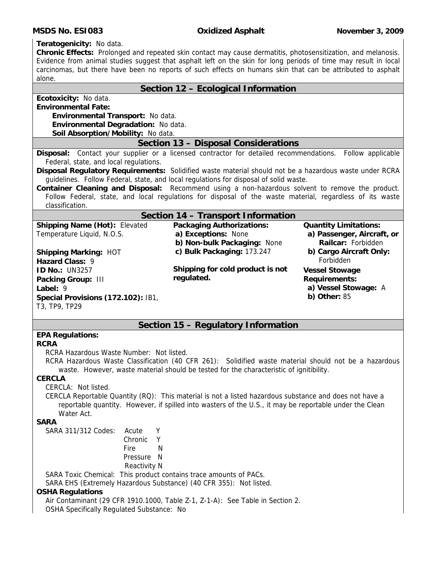#### **MSDS No. ESI083 Oxidized Asphalt November 3, 2009**

**Teratogenicity:** No data.

**Chronic Effects:** Prolonged and repeated skin contact may cause dermatitis, photosensitization, and melanosis. Evidence from animal studies suggest that asphalt left on the skin for long periods of time may result in local carcinomas, but there have been no reports of such effects on humans skin that can be attributed to asphalt alone.

### **Section 12 – Ecological Information**

**Ecotoxicity:** No data.

**Environmental Fate:** 

**Environmental Transport:** No data. **Environmental Degradation:** No data. **Soil Absorption/Mobility:** No data.

#### **Section 13 – Disposal Considerations**

**Disposal:** Contact your supplier or a licensed contractor for detailed recommendations. Follow applicable Federal, state, and local regulations.

**Disposal Regulatory Requirements:** Solidified waste material should not be a hazardous waste under RCRA guidelines. Follow Federal, state, and local regulations for disposal of solid waste.

**Container Cleaning and Disposal:** Recommend using a non-hazardous solvent to remove the product. Follow Federal, state, and local regulations for disposal of the waste material, regardless of its waste classification.

## **Section 14 – Transport Information**

| <b>Shipping Name (Hot): Elevated</b> | <b>Packaging Authorizations:</b> | <b>Quantity Limitations:</b> |
|--------------------------------------|----------------------------------|------------------------------|
| Temperature Liquid, N.O.S.           | a) Exceptions: None              | a) Passenger, Aircraft, or   |
|                                      | b) Non-bulk Packaging: None      | Railcar: Forbidden           |
| <b>Shipping Marking: HOT</b>         | c) Bulk Packaging: 173.247       | b) Cargo Aircraft Only:      |
| Hazard Class: 9                      |                                  | Forbidden                    |
| <b>ID No.: UN3257</b>                | Shipping for cold product is not | <b>Vessel Stowage</b>        |
| Packing Group: III                   | regulated.                       | <b>Requirements:</b>         |
| Label: $9$                           |                                  | a) Vessel Stowage: A         |
| Special Provisions (172.102): IB1,   |                                  | b) Other: $85$               |
| T3, TP9, TP29                        |                                  |                              |
|                                      |                                  |                              |

## **Section 15 – Regulatory Information**

## **EPA Regulations:**

#### **RCRA**

RCRA Hazardous Waste Number: Not listed.

RCRA Hazardous Waste Classification (40 CFR 261): Solidified waste material should not be a hazardous waste. However, waste material should be tested for the characteristic of ignitibility.

#### **CERCLA**

CERCLA: Not listed.

CERCLA Reportable Quantity (RQ): This material is not a listed hazardous substance and does not have a reportable quantity. However, if spilled into wasters of the U.S., it may be reportable under the Clean Water Act.

#### **SARA**

| SARA 311/312 Codes: | Acute               |   |
|---------------------|---------------------|---|
|                     | Chronic             |   |
|                     | Fire                | N |
|                     | Pressure N          |   |
|                     | <b>Reactivity N</b> |   |

SARA Toxic Chemical: This product contains trace amounts of PACs.

SARA EHS (Extremely Hazardous Substance) (40 CFR 355): Not listed.

#### **OSHA Regulations**

Air Contaminant (29 CFR 1910.1000, Table Z-1, Z-1-A): See Table in Section 2. OSHA Specifically Regulated Substance: No